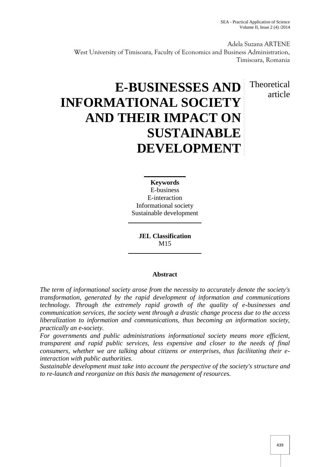Adela Suzana ARTENE West University of Timisoara, Faculty of Economics and Business Administration, Timisoara, Romania

> Theoretical article

# **E-BUSINESSES AND INFORMATIONAL SOCIETY AND THEIR IMPACT ON SUSTAINABLE DEVELOPMENT**

# **Keywords**

E-business E-interaction Informational society Sustainable development

**JEL Classification** M15

# **Abstract**

*The term of informational society arose from the necessity to accurately denote the society's transformation, generated by the rapid development of information and communications technology. Through the extremely rapid growth of the quality of e-businesses and communication services, the society went through a drastic change process due to the access liberalization to information and communications, thus becoming an information society, practically an e-society.*

*For governments and public administrations informational society means more efficient, transparent and rapid public services, less expensive and closer to the needs of final consumers, whether we are talking about citizens or enterprises, thus facilitating their einteraction with public authorities.*

*Sustainable development must take into account the perspective of the society's structure and to re-launch and reorganize on this basis the management of resources.*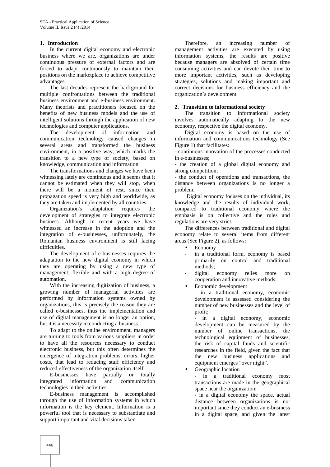## **1. Introduction**

In the current digital economy and electronic business where we are, organizations are under continuous pressure of external factors and are forced to adapt continuously to maintain their positions on the marketplace to achieve competitive advantages.

The last decades represent the background for multiple confrontations between the traditional business environment and e-business environment. Many theorists and practitioners focused on the benefits of new business models and the use of intelligent solutions through the application of new technologies and computer applications.

The development of information and communication technology caused changes in several areas and transformed the business environment, in a positive way, which marks the transition to a new type of society, based on knowledge, communication and information.

The transformations and changes we have been witnessing lately are continuous and it seems that it cannot be estimated when they will stop, when there will be a moment of rest, since their propagation speed is very high and worldwide, as they are taken and implemented by all countries.

Organization's adaptation requires the development of strategies to integrate electronic business. Although in recent years we have witnessed an increase in the adoption and the integration of e-businesses, unfortunately, the Romanian business environment is still facing difficulties.

The development of e-businesses requires the adaptation to the new digital economy in which they are operating by using a new type of management, flexible and with a high degree of automation.

With the increasing digitization of business, a growing number of managerial activities are performed by information systems owned by organizations, this is precisely the reason they are called e-businesses, thus the implementation and use of digital management is no longer an option, but it is a necessity in conducting a business.

To adapt to the online environment, managers are turning to tools from various suppliers in order to have all the resources necessary to conduct electronic business, but this often determines the emergence of integration problems, errors, higher costs, that lead to reducing staff efficiency and reduced effectiveness of the organization itself.

E-businesses have partially or totally integrated information and communication technologies in their activities.

E-business management is accomplished through the use of information systems in which information is the key element. Information is a powerful tool that is necessary to substantiate and support important and vital decisions taken.

Therefore, an increasing number of management activities are executed by using information systems, the results are positive because managers are absolved of certain time consuming activities and can devote their time to more important activities, such as developing strategies, solutions and making important and correct decisions for business efficiency and the organization's development.

## **2. Transition to informational society**

The transition to informational society involves automatically adapting to the new economy, respective the digital economy.

Digital economy is based on the use of information and communications technology (See Figure 1) that facilitates:

- continuous innovation of the processes conducted in e-businesses;

- the creation of a global digital economy and strong competition;

- the conduct of operations and transactions, the distance between organizations is no longer a problem.

Digital economy focuses on the individual, its knowledge and the results of individual work, compared to traditional economy where the emphasis is on collective and the rules and regulations are very strict.

The differences between traditional and digital economy relate to several items from different areas (See Figure 2), as follows:

- Economy
- in a traditional form, economy is based primarily on control and traditional methods;
- digital economy relies more on cooperation and innovative methods.
- Economic development

- in a traditional economy, economic development is assessed considering the number of new businesses and the level of profit;

- in a digital economy, economic development can be measured by the number of online transactions, the technological equipment of businesses, the risk of capital funds and scientific researches in the field, given the fact that the new business applications and equipment emerges "over night".

Geographic location

in a traditional economy most transactions are made in the geographical space near the organization;

- in a digital economy the space, actual distance between organizations is not important since they conduct an e-business in a digital space, and given the latest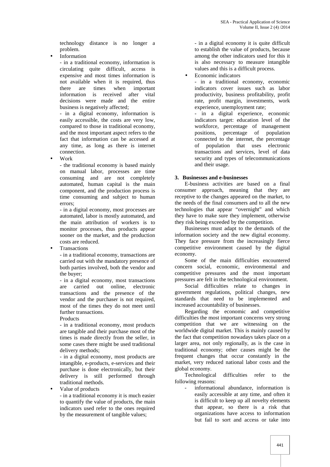technology distance is no longer a problem.

 Information - in a traditional economy, information is circulating quite difficult, access is expensive and most times information is not available when it is required, thus there are times when information is received after vital decisions were made and the entire business is negatively affected;

- in a digital economy, information is easily accessible, the costs are very low, compared to those in traditional economy, and the most important aspect refers to the fact that information can be accessed at any time, as long as there is internet connection.

Work

- the traditional economy is based mainly on manual labor, processes are time consuming and are not completely automated, human capital is the main component, and the production process is time consuming and subject to human errors;

- in a digital economy, most processes are automated, labor is mostly automated, and the main attribution of workers is to monitor processes, thus products appear sooner on the market, and the production costs are reduced.

Transactions

- in a traditional economy, transactions are carried out with the mandatory presence of both parties involved, both the vendor and the buyer;

- in a digital economy, most transactions are carried out online, electronic transactions and the presence of the vendor and the purchaser is not required, most of the times they do not meet until further transactions.

Products

- in a traditional economy, most products are tangible and their purchase most of the times is made directly from the seller, in some cases there might be used traditional delivery methods;

- in a digital economy, most products are intangible, e-products, e-services and their purchase is done electronically, but their delivery is still performed through traditional methods.

Value of products

- in a traditional economy it is much easier to quantify the value of products, the main indicators used refer to the ones required by the measurement of tangible values;

- in a digital economy it is quite difficult to establish the value of products, because among the other indicators used for this it is also necessary to measure intangible values and this is a difficult process.

Economic indicators

- in a traditional economy, economic indicators cover issues such as labor productivity, business profitability, profit rate, profit margin, investments, work experience, unemployment rate;

- in a digital experience, economic indicators target: education level of the workforce, percentage of management positions, percentage of population connected to the internet, the percentage of population that uses electronic transactions and services, level of data security and types of telecommunications and their usage.

# **3. Businesses and e-businesses**

E-business activities are based on a final consumer approach, meaning that they are receptive to the changes appeared on the market, to the needs of the final consumers and to all the new technologies that appear "overnight" and which they have to make sure they implement, otherwise they risk being exceeded by the competition.

Businesses must adapt to the demands of the information society and the new digital economy. They face pressure from the increasingly fierce competitive environment caused by the digital economy.

Some of the main difficulties encountered concern social, economic, environmental and competitive pressures and the most important pressures are felt in the technological environment.

Social difficulties relate to changes in government regulations, political changes, new standards that need to be implemented and increased accountability of businesses.

Regarding the economic and competitive difficulties the most important concerns very strong competition that we are witnessing on the worldwide digital market. This is mainly caused by the fact that competition nowadays takes place on a larger area, not only regionally, as is the case in traditional economy; other causes might be the frequent changes that occur constantly in the market, very reduced national labor costs and the global economy.

Technological difficulties refer to the following reasons:

informational abundance, information is easily accessible at any time, and often it is difficult to keep up all novelty elements that appear, so there is a risk that organizations have access to information but fail to sort and access or take into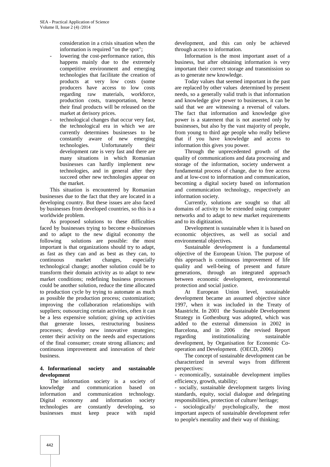consideration in a crisis situation when the information is required "on the spot";

- lowering the cost-performance ration, this happens mainly due to the extremely competitive environment and emerging technologies that facilitate the creation of products at very low costs (some producers have access to low costs regarding raw materials, workforce, production costs, transportation, hence their final products will be released on the market at derisory prices.
- technological changes that occur very fast, the technological era in which we are currently determines businesses to be constantly aware of new emerging technologies. Unfortunately their development rate is very fast and there are many situations in which Romanian businesses can hardly implement new technologies, and in general after they succeed other new technologies appear on the market.

This situation is encountered by Romanian businesses due to the fact that they are located in a developing country. But these issues are also faced by businesses from developed countries, so this is a worldwide problem.

As proposed solutions to these difficulties faced by businesses trying to become e-businesses and to adapt to the new digital economy the following solutions are possible: the most important is that organizations should try to adapt, as fast as they can and as best as they can, to continuous market changes, especially technological change; another solution could be to transform their domain activity as to adapt to new market conditions; redefining business processes could be another solution, reduce the time allocated to production cycle by trying to automate as much as possible the production process; customization; improving the collaboration relationships with suppliers; outsourcing certain activities, often it can be a less expensive solution; giving up activities that generate losses, restructuring business processes; develop new innovative strategies; center their activity on the needs and expectations of the final consumer; create strong alliances; and continuous improvement and innovation of their business.

#### **4. Informational society and sustainable development**

The information society is a society of knowledge and communication based on information and communication technology. Digital economy and information society technologies are constantly developing, so businesses must keep peace with rapid development, and this can only be achieved through access to information.

Information is the most important asset of a business, but after obtaining information is very important their correct storage and transmission so as to generate new knowledge.

Today values that seemed important in the past are replaced by other values determined by present needs, so a generally valid truth is that information and knowledge give power to businesses, it can be said that we are witnessing a reversal of values. The fact that information and knowledge give power is a statement that is not asserted only by businesses, but also by the vast majority of people, from young to third age people who really believe that if you have knowledge and access to information this gives you power.

Through the unprecedented growth of the quality of communications and data processing and storage of the information, society underwent a fundamental process of change, due to free access and at low-cost to information and communication, becoming a digital society based on information and communication technology, respectively an information society.

Currently, solutions are sought so that all domains of activity to be extended using computer networks and to adapt to new market requirements and to its digitization.

Development is sustainable when it is based on economic objectives, as well as social and environmental objectives.

Sustainable development is a fundamental objective of the European Union. The purpose of this approach is continuous improvement of life quality and well-being of present and future generations, through an integrated approach between economic development, environmental protection and social justice.

At European Union level, sustainable development became an assumed objective since 1997, when it was included in the Treaty of Maastricht. In 2001 the Sustainable Development Strategy in Gothenburg was adopted, which was added to the external dimension in 2002 in Barcelona, and in 2006 the revised Report regarding institutionalizing sustainable development, by Organisation for Economic Co operation and Development. (OECD, 2006)

The concept of sustainable development can be characterized in several ways from different perspectives:

- economically, sustainable development implies efficiency, growth, stability;

- socially, sustainable development targets living standards, equity, social dialogue and delegating responsibilities, protection of culture/ heritage;

sociologically/ psychologically, the most important aspects of sustainable development refer to people's mentality and their way of thinking;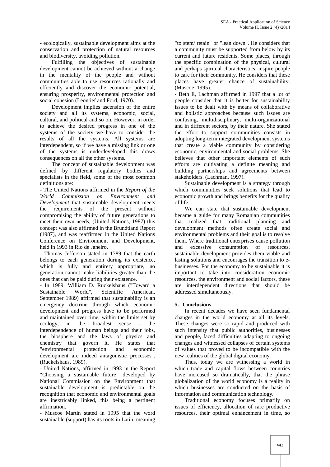- ecologically, sustainable development aims at the conservation and protection of natural resources and biodiversity, avoiding pollution.

Fulfilling the objectives of sustainable development cannot be achieved without a change in the mentality of the people and without communities able to use resources rationally and efficiently and discover the economic potential, ensuring prosperity, environmental protection and social cohesion (Leontief and Ford, 1970).

Development implies ascension of the entire society and all its systems, economic, social, cultural, and political and so on. However, in order to achieve the desired progress in one of the systems of the society we have to consider the results of all the systems. All systems are interdependent, so if we have a missing link or one of the systems is underdeveloped this draws consequences on all the other systems.

The concept of sustainable development was defined by different regulatory bodies and specialists in the field, some of the most common definitions are:

- The United Nations affirmed in the *Report of the World Commission on Environment and Development* that sustainable development meets the requirements of the present without compromising the ability of future generations to meet their own needs, (United Nations, 1987) this concept was also affirmed in the Brundtland Report (1987), and was reaffirmed in the United Nations Conference on Environment and Development, held in 1993 in Rio de Janeiro.

- Thomas Jefferson stated in 1789 that the earth belongs to each generation during its existence, which is fully and entirety appropriate, no generation cannot make liabilities greater than the ones that can be paid during their existence.

- In 1989, William D. Ruckelshaus ("Toward a Sustainable World", Scientific American, September 1989) affirmed that sustainability is an emergency doctrine through which economic development and progress have to be performed and maintained over time, within the limits set by ecology, in the broadest sense - the interdependence of human beings and their jobs, the biosphere and the laws of physics and chemistry that govern it. He states that "environmental protection and economic development are indeed antagonistic processes". (Ruckelshaus, 1989).

- United Nations, affirmed in 1993 in the Report "Choosing a sustainable future" developed by National Commission on the Environment that sustainable development is predictable on the recognition that economic and environmental goals are inextricably linked, this being a pertinent affirmation.

- Muscoe Martin stated in 1995 that the word sustainable (support) has its roots in Latin, meaning

"to stem/ retain" or "lean down". He considers that a community must be supported from below by its current and future residents. Some places, through the specific combination of the physical, cultural and perhaps spiritual characteristics, inspire people to care for their community. He considers that these places have greater chance of sustainability. (Muscoe, 1995).

- Beth E, Lachman affirmed in 1997 that a lot of people consider that it is better for sustainability issues to be dealt with by means of collaborative and holistic approaches because such issues are confusing, multidisciplinary, multi-organizational and in different sectors, by their nature. She stated the effort to support communities consists in adopting long-term integrated development systems that create a viable community by considering economic, environmental and social problems. She believes that other important elements of such efforts are cultivating a definite meaning and building partnerships and agreements between stakeholders. (Lachman, 1997).

Sustainable development is a strategy through which communities seek solutions that lead to economic growth and brings benefits for the quality of life.

We can state that sustainable development became a guide for many Romanian communities that realized that traditional planning and development methods often create social and environmental problems and their goal is to resolve them. Where traditional enterprises cause pollution and excessive consumption of resources, sustainable development provides them viable and lasting solutions and encourages the transition to e businesses. For the economy to be sustainable it is important to take into consideration economic resources, the environment and social factors, these are interdependent directions that should be addressed simultaneously.

## **5. Conclusions**

In recent decades we have seen fundamental changes in the world economy at all its levels. These changes were so rapid and produced with such intensity that public authorities, businesses and people, faced difficulties adapting to ongoing changes and witnessed collapses of certain systems of values that proved to be incompatible with the new realities of the global digital economy.

Thus, today we are witnessing a world in which trade and capital flows between countries have increased so dramatically, that the phrase globalization of the world economy is a reality in which businesses are conducted on the basis of information and communication technology.

Traditional economy focuses primarily on issues of efficiency, allocation of rare productive resources, their optimal enhancement in time, so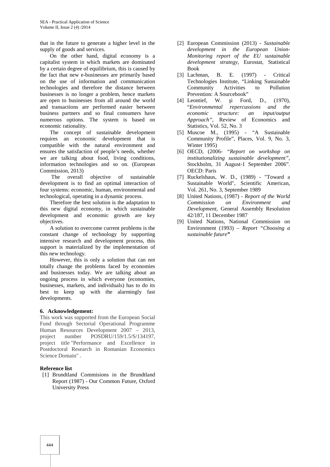that in the future to generate a higher level in the supply of goods and services.

On the other hand, digital economy is a capitalist system in which markets are dominated by a certain degree of equilibrium, this is caused by the fact that new e-businesses are primarily based on the use of information and communication technologies and therefore the distance between businesses is no longer a problem, hence markets are open to businesses from all around the world and transactions are performed easier between business partners and so final consumers have numerous options. The system is based on economic rationality.

The concept of sustainable development requires an economic development that is compatible with the natural environment and ensures the satisfaction of people's needs, whether we are talking about food, living conditions, information technologies and so on. (European Commission, 2013)

The overall objective of sustainable development is to find an optimal interaction of four systems: economic, human, environmental and technological, operating in a dynamic process.

Therefore the best solution is the adaptation to this new digital economy, in which sustainable development and economic growth are key objectives.

A solution to overcome current problems is the constant change of technology by supporting intensive research and development process, this support is materialized by the implementation of this new technology.

However, this is only a solution that can not totally change the problems faced by economies and businesses today. We are talking about an ongoing process in which everyone (economies, businesses, markets, and individuals) has to do its best to keep up with the alarmingly fast developments.

#### **6. Acknowledgement:**

This work was supported from the European Social Fund through Sectorial Operational Programme Human Resources Development 2007 – 2013, project number POSDRU/159/1.5/S/134197, project title "Performance and Excellence in Postdoctoral Research in Romanian Economics Science Domain" .

#### **Reference list**

[1] Brundtland Commisions in the Brundtland Report (1987) - Our Common Future, Oxford University Press

- [2] European Commission (2013) *Sustainable development in the European Union*- *Monitoring report of the EU sustainable development strategy*, Eurostat, Statistical Book
- [3] Lachman, B. E. (1997) Critical Technologies Institute, "Linking Sustainable Community Activities to Prevention: A Sourcebook"
- [4] Leontief, W. *i* Ford, D., (1970), "*Environmental repercussions and the economic structure: an input/output Approach",* Review of Economics and Statistics, Vol. 52, No. 3
- [5] Muscoe M., (1995) "A Sustainable Community Profile", Places, Vol. 9, No. 3, Winter 1995)
- [6] OECD, (2006*- "Report on workshop on institutionalizing sustainable development",* Stockholm, 31 August-1 September 2006". OECD: Paris
- [7] Ruckelshaus, W. D., (1989) "Toward a Sustainable World", Scientific American, Vol. 261, No. 3, September 1989
- [8] United Nations, (1987) *Report of the World Commission on Environment and Development*, General Assembly Resolution 42/187, 11 December 1987
- [9] United Nations, National Commission on Environment (1993) – *Report "Choosing a sustainable future"*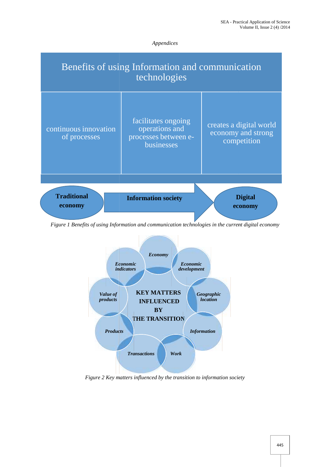### *Appendices*



*Figure 1 Benefits of using Information and communication technologies in the current digital economy* 



*Figure 2 Key matters influenced by the transition to information society*